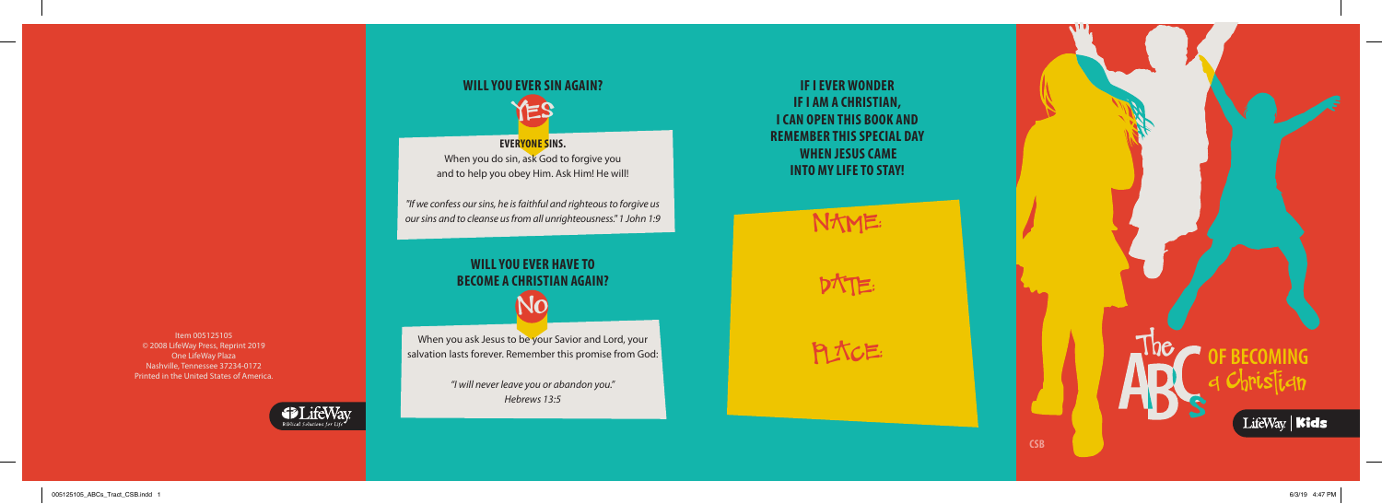

Item 005125105 © 2008 LifeWay Press, Reprint 2019 One LifeWay Plaza Nashville, Tennessee 37234-0172 Printed in the United States of America.



### **IF I EVER WONDER IF I AM A CHRISTIAN, I CAN OPEN THIS BOOK AND REMEMBER THIS SPECIAL DAY WHEN JESUS CAME INTO MY LIFE TO STAY!**

NAME:

When you ask Jesus to be your Savior and Lord, your salvation lasts forever. Remember this promise from God: DATE:

**PLACE:** 

# **WILL YOU EVER SIN AGAIN?**



**EVERYONE SINS.** When you do sin, ask God to forgive you and to help you obey Him. Ask Him! He will!

*"If we confess our sins, he is faithful and righteous to forgive us our sins and to cleanse us from all unrighteousness." 1 John 1:9*

## **WILL YOU EVER HAVE TO BECOME A CHRISTIAN AGAIN?** NO

*"I will never leave you or abandon you." Hebrews 13:5*